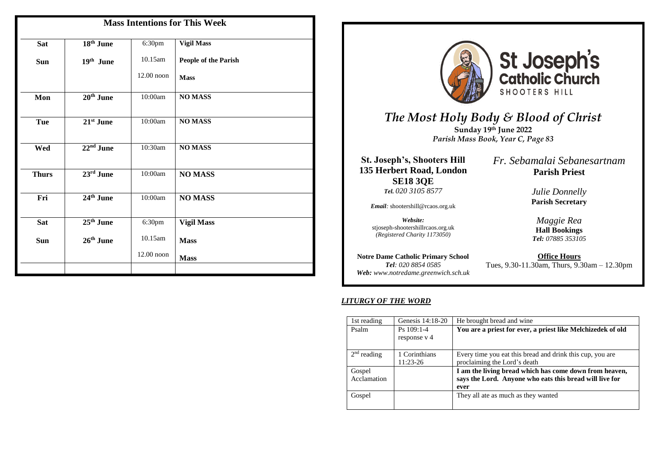| <b>Mass Intentions for This Week</b> |                       |            |                      |  |
|--------------------------------------|-----------------------|------------|----------------------|--|
| <b>Sat</b>                           | 18 <sup>th</sup> June | 6:30pm     | <b>Vigil Mass</b>    |  |
| Sun                                  | 19th June             | 10.15am    | People of the Parish |  |
|                                      |                       | 12.00 noon | <b>Mass</b>          |  |
| Mon                                  | 20 <sup>th</sup> June | 10:00am    | <b>NO MASS</b>       |  |
| Tue                                  | 21st June             | 10:00am    | <b>NO MASS</b>       |  |
| Wed                                  | $22nd$ June           | 10:30am    | <b>NO MASS</b>       |  |
| <b>Thurs</b>                         | $23rd$ June           | 10:00am    | <b>NO MASS</b>       |  |
| Fri                                  | $24th$ June           | 10:00am    | <b>NO MASS</b>       |  |
| Sat                                  | 25 <sup>th</sup> June | 6:30pm     | <b>Vigil Mass</b>    |  |
| Sun                                  | 26th June             | 10.15am    | <b>Mass</b>          |  |
|                                      |                       | 12.00 noon | <b>Mass</b>          |  |
|                                      |                       |            |                      |  |





# *The Most Holy Body & Blood of Christ* **Sunday 19 th June 2022**

*Parish Mass Book, Year C, Page 83*

**St. Joseph's, Shooters Hill 135 Herbert Road, London SE18 3QE** *Tel. 020 3105 8577*

*Email:* shootershill@rcaos.org.uk

*Website:*  stjoseph-shootershillrcaos.org.uk *(Registered Charity 1173050)*

**Notre Dame Catholic Primary School** *Tel: 020 8854 0585 Web: www.notredame.greenwich.sch.uk* *Fr. Sebamalai Sebanesartnam* **Parish Priest**

> *Julie Donnelly* **Parish Secretary**

*Maggie Rea* **Hall Bookings**  *Tel: 07885 353105*

**Office Hours** Tues, 9.30-11.30am, Thurs, 9.30am – 12.30pm

### *LITURGY OF THE WORD*

| 1st reading           | Genesis 14:18-20             | He brought bread and wine                                                                                                 |
|-----------------------|------------------------------|---------------------------------------------------------------------------------------------------------------------------|
| Psalm                 | $Ps$ 109:1-4<br>response v 4 | You are a priest for ever, a priest like Melchizedek of old                                                               |
| $2nd$ reading         | 1 Corinthians<br>11:23-26    | Every time you eat this bread and drink this cup, you are<br>proclaiming the Lord's death                                 |
| Gospel<br>Acclamation |                              | I am the living bread which has come down from heaven,<br>says the Lord. Anyone who eats this bread will live for<br>ever |
| Gospel                |                              | They all ate as much as they wanted                                                                                       |